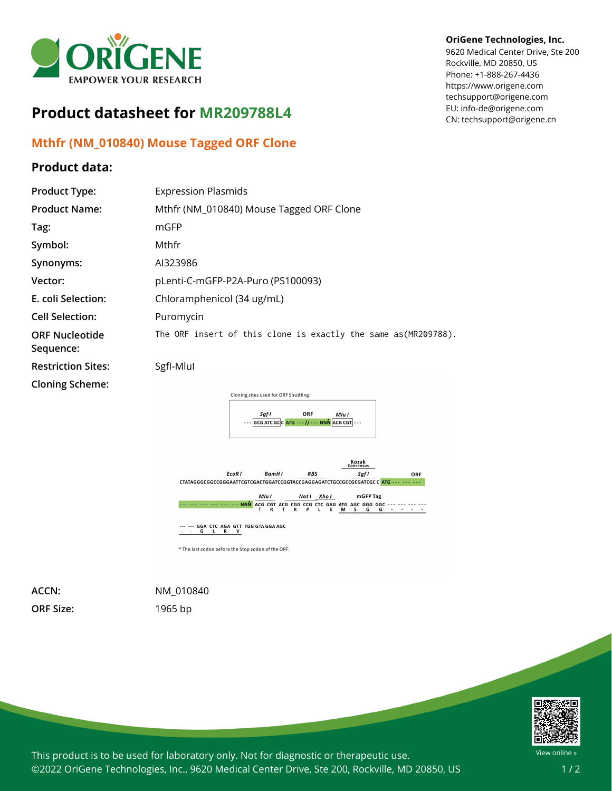

## **Product datasheet for MR209788L4**

## **Mthfr (NM\_010840) Mouse Tagged ORF Clone**

## **Product data:**

## **OriGene Technologies, Inc.**

9620 Medical Center Drive, Ste 200 Rockville, MD 20850, US Phone: +1-888-267-4436 https://www.origene.com techsupport@origene.com EU: info-de@origene.com CN: techsupport@origene.cn

| <b>Product Type:</b>               | <b>Expression Plasmids</b>                                      |
|------------------------------------|-----------------------------------------------------------------|
| <b>Product Name:</b>               | Mthfr (NM_010840) Mouse Tagged ORF Clone                        |
| Tag:                               | mGFP                                                            |
| Symbol:                            | Mthfr                                                           |
| Synonyms:                          | AI323986                                                        |
| Vector:                            | pLenti-C-mGFP-P2A-Puro (PS100093)                               |
| E. coli Selection:                 | Chloramphenicol (34 ug/mL)                                      |
| <b>Cell Selection:</b>             | Puromycin                                                       |
| <b>ORF Nucleotide</b><br>Sequence: | The ORF insert of this clone is exactly the same as (MR209788). |
| <b>Restriction Sites:</b>          | Sgfl-Mlul                                                       |
| <b>Cloning Scheme:</b>             | Cloning sites used for ORF Shuttling:<br>ORF<br>Sgf I<br>Mlu I  |
|                                    | GCG ATC GCC ATG - - - // - - - NNN ACG CGT   - - -              |



\* The last codon before the Stop codon of the ORF.

**ORF Size:** 1965 bp

**ACCN:** NM\_010840



This product is to be used for laboratory only. Not for diagnostic or therapeutic use. ©2022 OriGene Technologies, Inc., 9620 Medical Center Drive, Ste 200, Rockville, MD 20850, US